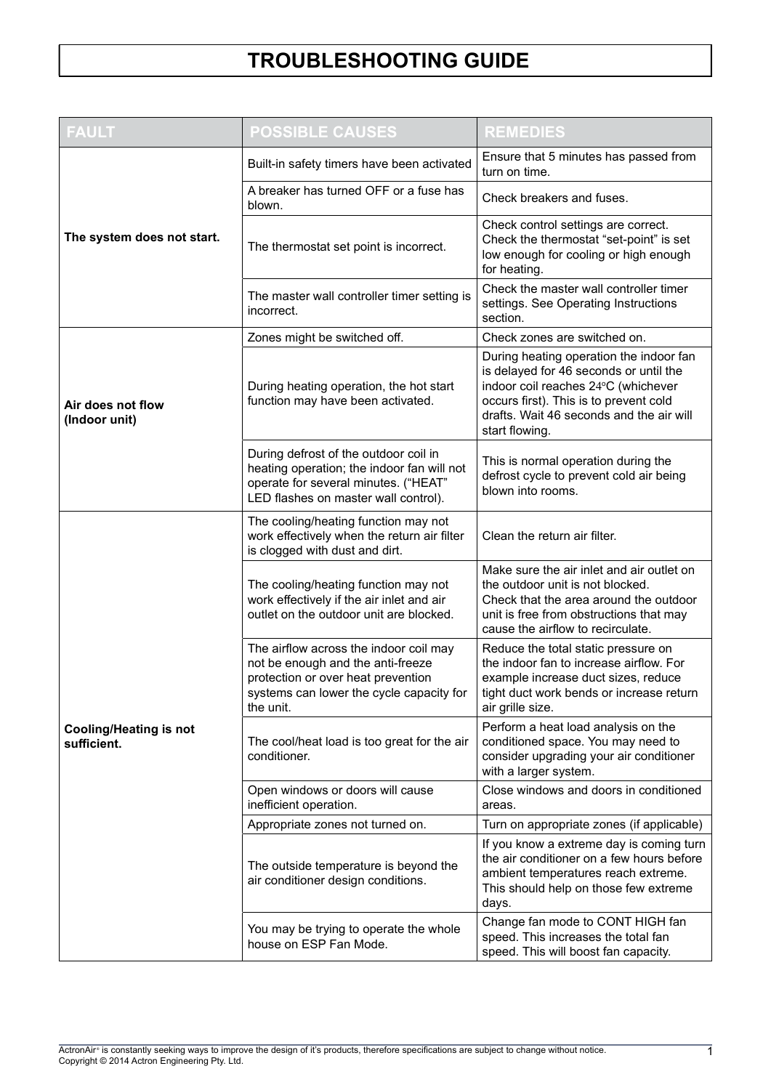| <b>FAULT</b>                                 | <b>POSSIBLE CAUSES</b>                                                                                                                                                     | <b>REMEDIES</b>                                                                                                                                                                                                                  |  |  |
|----------------------------------------------|----------------------------------------------------------------------------------------------------------------------------------------------------------------------------|----------------------------------------------------------------------------------------------------------------------------------------------------------------------------------------------------------------------------------|--|--|
| The system does not start.                   | Built-in safety timers have been activated                                                                                                                                 | Ensure that 5 minutes has passed from<br>turn on time.                                                                                                                                                                           |  |  |
|                                              | A breaker has turned OFF or a fuse has<br>blown.                                                                                                                           | Check breakers and fuses.                                                                                                                                                                                                        |  |  |
|                                              | The thermostat set point is incorrect.                                                                                                                                     | Check control settings are correct.<br>Check the thermostat "set-point" is set<br>low enough for cooling or high enough<br>for heating.                                                                                          |  |  |
|                                              | The master wall controller timer setting is<br>incorrect.                                                                                                                  | Check the master wall controller timer<br>settings. See Operating Instructions<br>section.                                                                                                                                       |  |  |
| Air does not flow<br>(Indoor unit)           | Zones might be switched off.                                                                                                                                               | Check zones are switched on.                                                                                                                                                                                                     |  |  |
|                                              | During heating operation, the hot start<br>function may have been activated.                                                                                               | During heating operation the indoor fan<br>is delayed for 46 seconds or until the<br>indoor coil reaches 24°C (whichever<br>occurs first). This is to prevent cold<br>drafts. Wait 46 seconds and the air will<br>start flowing. |  |  |
|                                              | During defrost of the outdoor coil in<br>heating operation; the indoor fan will not<br>operate for several minutes. ("HEAT"<br>LED flashes on master wall control).        | This is normal operation during the<br>defrost cycle to prevent cold air being<br>blown into rooms.                                                                                                                              |  |  |
| <b>Cooling/Heating is not</b><br>sufficient. | The cooling/heating function may not<br>work effectively when the return air filter<br>is clogged with dust and dirt.                                                      | Clean the return air filter.                                                                                                                                                                                                     |  |  |
|                                              | The cooling/heating function may not<br>work effectively if the air inlet and air<br>outlet on the outdoor unit are blocked.                                               | Make sure the air inlet and air outlet on<br>the outdoor unit is not blocked.<br>Check that the area around the outdoor<br>unit is free from obstructions that may<br>cause the airflow to recirculate.                          |  |  |
|                                              | The airflow across the indoor coil may<br>not be enough and the anti-freeze<br>protection or over heat prevention<br>systems can lower the cycle capacity for<br>the unit. | Reduce the total static pressure on<br>the indoor fan to increase airflow. For<br>example increase duct sizes, reduce<br>tight duct work bends or increase return<br>air grille size.                                            |  |  |
|                                              | The cool/heat load is too great for the air<br>conditioner.                                                                                                                | Perform a heat load analysis on the<br>conditioned space. You may need to<br>consider upgrading your air conditioner<br>with a larger system.                                                                                    |  |  |
|                                              | Open windows or doors will cause<br>inefficient operation.                                                                                                                 | Close windows and doors in conditioned<br>areas.                                                                                                                                                                                 |  |  |
|                                              | Appropriate zones not turned on.                                                                                                                                           | Turn on appropriate zones (if applicable)                                                                                                                                                                                        |  |  |
|                                              | The outside temperature is beyond the<br>air conditioner design conditions.                                                                                                | If you know a extreme day is coming turn<br>the air conditioner on a few hours before<br>ambient temperatures reach extreme.<br>This should help on those few extreme<br>days.                                                   |  |  |
|                                              | You may be trying to operate the whole<br>house on ESP Fan Mode.                                                                                                           | Change fan mode to CONT HIGH fan<br>speed. This increases the total fan<br>speed. This will boost fan capacity.                                                                                                                  |  |  |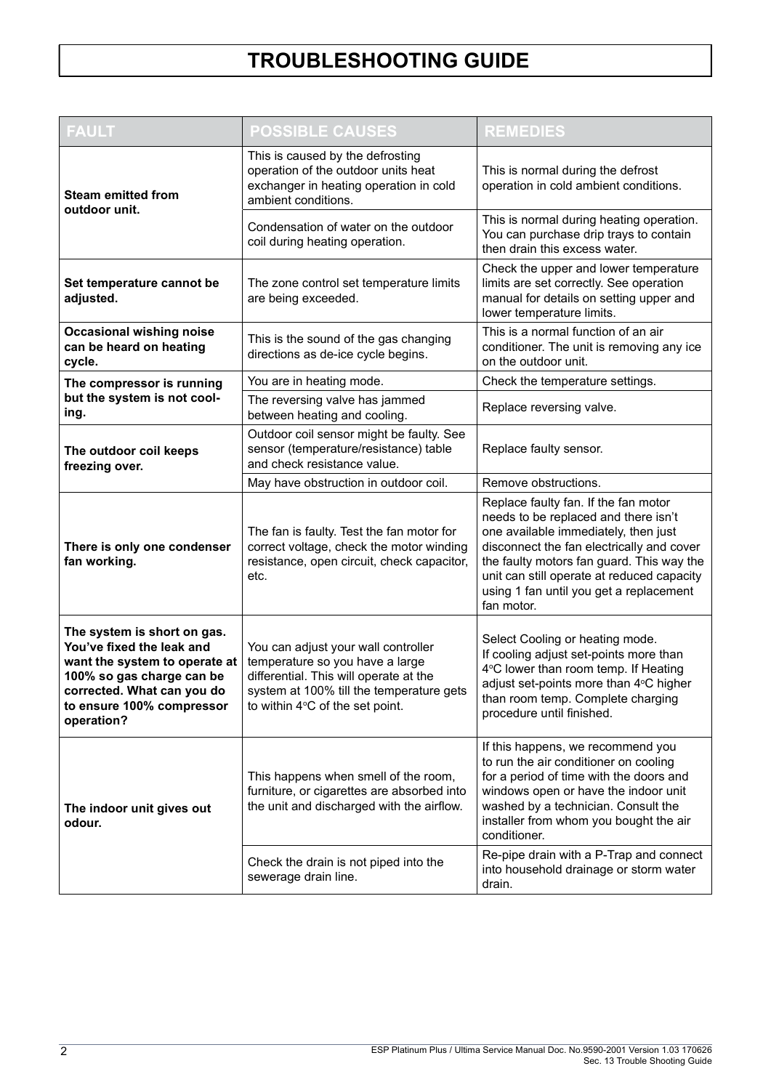| <b>FAULT</b>                                                                                                                                                                                    | <b>POSSIBLE CAUSES</b>                                                                                                                                                                          | <b>REMEDIES</b>                                                                                                                                                                                                                                                                                                       |  |  |
|-------------------------------------------------------------------------------------------------------------------------------------------------------------------------------------------------|-------------------------------------------------------------------------------------------------------------------------------------------------------------------------------------------------|-----------------------------------------------------------------------------------------------------------------------------------------------------------------------------------------------------------------------------------------------------------------------------------------------------------------------|--|--|
| <b>Steam emitted from</b><br>outdoor unit.                                                                                                                                                      | This is caused by the defrosting<br>operation of the outdoor units heat<br>exchanger in heating operation in cold<br>ambient conditions.                                                        | This is normal during the defrost<br>operation in cold ambient conditions.                                                                                                                                                                                                                                            |  |  |
|                                                                                                                                                                                                 | Condensation of water on the outdoor<br>coil during heating operation.                                                                                                                          | This is normal during heating operation.<br>You can purchase drip trays to contain<br>then drain this excess water.                                                                                                                                                                                                   |  |  |
| Set temperature cannot be<br>adjusted.                                                                                                                                                          | The zone control set temperature limits<br>are being exceeded.                                                                                                                                  | Check the upper and lower temperature<br>limits are set correctly. See operation<br>manual for details on setting upper and<br>lower temperature limits.                                                                                                                                                              |  |  |
| <b>Occasional wishing noise</b><br>can be heard on heating<br>cycle.                                                                                                                            | This is the sound of the gas changing<br>directions as de-ice cycle begins.                                                                                                                     | This is a normal function of an air<br>conditioner. The unit is removing any ice<br>on the outdoor unit.                                                                                                                                                                                                              |  |  |
| The compressor is running                                                                                                                                                                       | You are in heating mode.                                                                                                                                                                        | Check the temperature settings.                                                                                                                                                                                                                                                                                       |  |  |
| but the system is not cool-<br>ing.                                                                                                                                                             | The reversing valve has jammed<br>between heating and cooling.                                                                                                                                  | Replace reversing valve.                                                                                                                                                                                                                                                                                              |  |  |
| The outdoor coil keeps<br>freezing over.                                                                                                                                                        | Outdoor coil sensor might be faulty. See<br>sensor (temperature/resistance) table<br>and check resistance value.                                                                                | Replace faulty sensor.                                                                                                                                                                                                                                                                                                |  |  |
|                                                                                                                                                                                                 | May have obstruction in outdoor coil.                                                                                                                                                           | Remove obstructions.                                                                                                                                                                                                                                                                                                  |  |  |
| There is only one condenser<br>fan working.                                                                                                                                                     | The fan is faulty. Test the fan motor for<br>correct voltage, check the motor winding<br>resistance, open circuit, check capacitor,<br>etc.                                                     | Replace faulty fan. If the fan motor<br>needs to be replaced and there isn't<br>one available immediately, then just<br>disconnect the fan electrically and cover<br>the faulty motors fan guard. This way the<br>unit can still operate at reduced capacity<br>using 1 fan until you get a replacement<br>fan motor. |  |  |
| The system is short on gas.<br>You've fixed the leak and<br>want the system to operate at<br>100% so gas charge can be<br>corrected. What can you do<br>to ensure 100% compressor<br>operation? | You can adjust your wall controller<br>temperature so you have a large<br>differential. This will operate at the<br>system at 100% till the temperature gets<br>to within 4°C of the set point. | Select Cooling or heating mode.<br>If cooling adjust set-points more than<br>4°C lower than room temp. If Heating<br>adjust set-points more than 4°C higher<br>than room temp. Complete charging<br>procedure until finished.                                                                                         |  |  |
| The indoor unit gives out<br>odour.                                                                                                                                                             | This happens when smell of the room,<br>furniture, or cigarettes are absorbed into<br>the unit and discharged with the airflow.                                                                 | If this happens, we recommend you<br>to run the air conditioner on cooling<br>for a period of time with the doors and<br>windows open or have the indoor unit<br>washed by a technician. Consult the<br>installer from whom you bought the air<br>conditioner.                                                        |  |  |
|                                                                                                                                                                                                 | Check the drain is not piped into the<br>sewerage drain line.                                                                                                                                   | Re-pipe drain with a P-Trap and connect<br>into household drainage or storm water<br>drain.                                                                                                                                                                                                                           |  |  |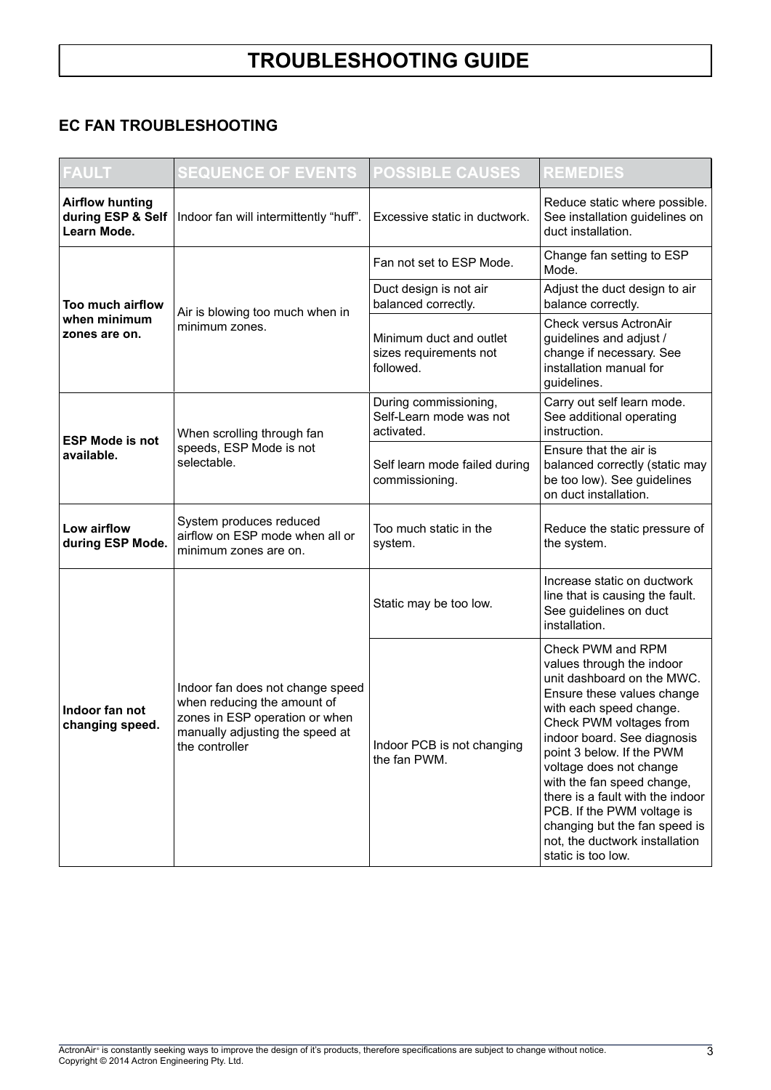### EC FAN TROUBLESHOOTING

| <b>FAULT</b>                                               | <b>SEQUENCE OF EVENTS</b>                                                                                                                              | <b>POSSIBLE CAUSES</b>                                         | <b>REMEDIES</b>                                                                                                                                                                                                                                                                                                                                                                                                                                  |
|------------------------------------------------------------|--------------------------------------------------------------------------------------------------------------------------------------------------------|----------------------------------------------------------------|--------------------------------------------------------------------------------------------------------------------------------------------------------------------------------------------------------------------------------------------------------------------------------------------------------------------------------------------------------------------------------------------------------------------------------------------------|
| <b>Airflow hunting</b><br>during ESP & Self<br>Learn Mode. | Indoor fan will intermittently "huff".                                                                                                                 | Excessive static in ductwork.                                  | Reduce static where possible.<br>See installation guidelines on<br>duct installation.                                                                                                                                                                                                                                                                                                                                                            |
| Too much airflow<br>when minimum<br>zones are on.          |                                                                                                                                                        | Fan not set to ESP Mode.                                       | Change fan setting to ESP<br>Mode.                                                                                                                                                                                                                                                                                                                                                                                                               |
|                                                            |                                                                                                                                                        | Duct design is not air<br>balanced correctly.                  | Adjust the duct design to air<br>balance correctly.                                                                                                                                                                                                                                                                                                                                                                                              |
|                                                            | Air is blowing too much when in<br>minimum zones.                                                                                                      | Minimum duct and outlet<br>sizes requirements not<br>followed. | Check versus ActronAir<br>guidelines and adjust /<br>change if necessary. See<br>installation manual for<br>guidelines.                                                                                                                                                                                                                                                                                                                          |
| <b>ESP Mode is not</b><br>available.                       | When scrolling through fan                                                                                                                             | During commissioning,<br>Self-Learn mode was not<br>activated. | Carry out self learn mode.<br>See additional operating<br>instruction.                                                                                                                                                                                                                                                                                                                                                                           |
|                                                            | speeds, ESP Mode is not<br>selectable.                                                                                                                 | Self learn mode failed during<br>commissioning.                | Ensure that the air is<br>balanced correctly (static may<br>be too low). See guidelines<br>on duct installation.                                                                                                                                                                                                                                                                                                                                 |
| Low airflow<br>during ESP Mode.                            | System produces reduced<br>airflow on ESP mode when all or<br>minimum zones are on.                                                                    | Too much static in the<br>system.                              | Reduce the static pressure of<br>the system.                                                                                                                                                                                                                                                                                                                                                                                                     |
| Indoor fan not<br>changing speed.                          |                                                                                                                                                        | Static may be too low.                                         | Increase static on ductwork<br>line that is causing the fault.<br>See guidelines on duct<br>installation.                                                                                                                                                                                                                                                                                                                                        |
|                                                            | Indoor fan does not change speed<br>when reducing the amount of<br>zones in ESP operation or when<br>manually adjusting the speed at<br>the controller | Indoor PCB is not changing<br>the fan PWM.                     | Check PWM and RPM<br>values through the indoor<br>unit dashboard on the MWC.<br>Ensure these values change<br>with each speed change.<br>Check PWM voltages from<br>indoor board. See diagnosis<br>point 3 below. If the PWM<br>voltage does not change<br>with the fan speed change,<br>there is a fault with the indoor<br>PCB. If the PWM voltage is<br>changing but the fan speed is<br>not, the ductwork installation<br>static is too low. |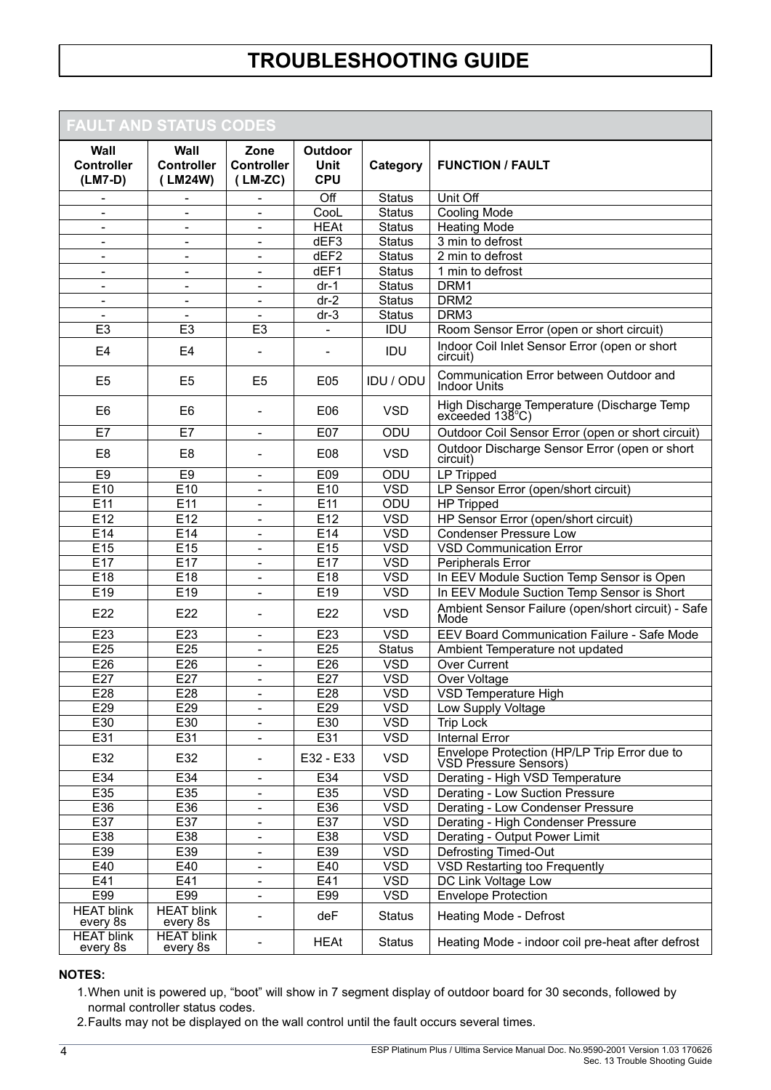## FAULT AND STATUS CODES

| AVEL AND VIATUU VUDEU                  |                                             |                                        |                                             |               |                                                                         |
|----------------------------------------|---------------------------------------------|----------------------------------------|---------------------------------------------|---------------|-------------------------------------------------------------------------|
| Wall<br><b>Controller</b><br>$(LM7-D)$ | <b>Wall</b><br><b>Controller</b><br>(LM24W) | Zone<br><b>Controller</b><br>$(LM-ZC)$ | <b>Outdoor</b><br><b>Unit</b><br><b>CPU</b> | Category      | <b>FUNCTION / FAULT</b>                                                 |
|                                        |                                             |                                        | Off                                         | <b>Status</b> | Unit Off                                                                |
| $\overline{\phantom{a}}$               | $\overline{\phantom{a}}$                    | $\blacksquare$                         | CooL                                        | <b>Status</b> | <b>Cooling Mode</b>                                                     |
|                                        |                                             |                                        | <b>HEAt</b>                                 | <b>Status</b> | <b>Heating Mode</b>                                                     |
| $\blacksquare$                         | $\blacksquare$                              | ä,                                     | dEF3                                        | <b>Status</b> | 3 min to defrost                                                        |
| $\overline{\phantom{a}}$               | $\overline{\phantom{a}}$                    | -                                      | dEF2                                        | <b>Status</b> | 2 min to defrost                                                        |
| $\blacksquare$                         | $\blacksquare$                              | ä,                                     | dEF1                                        | <b>Status</b> | 1 min to defrost                                                        |
| $\overline{\phantom{a}}$               | $\overline{\phantom{a}}$                    | $\overline{\phantom{a}}$               | $dr-1$                                      | <b>Status</b> | DRM1                                                                    |
| $\qquad \qquad \blacksquare$           | $\blacksquare$                              | ÷                                      | $dr-2$                                      | <b>Status</b> | DRM <sub>2</sub>                                                        |
| $\blacksquare$                         | $\blacksquare$                              | $\overline{\phantom{0}}$               | $dr-3$                                      | <b>Status</b> | DRM3                                                                    |
| E <sub>3</sub>                         | E <sub>3</sub>                              | E <sub>3</sub>                         |                                             | IDU           | Room Sensor Error (open or short circuit)                               |
| E <sub>4</sub>                         | E <sub>4</sub>                              | ÷                                      |                                             | IDU           | Indoor Coil Inlet Sensor Error (open or short<br>circuit)               |
| E <sub>5</sub>                         | E <sub>5</sub>                              | E <sub>5</sub>                         | E05                                         | IDU / ODU     | Communication Error between Outdoor and<br><b>Indoor Units</b>          |
| E <sub>6</sub>                         | E <sub>6</sub>                              | L,                                     | E06                                         | <b>VSD</b>    | High Discharge Temperature (Discharge Temp<br>exceeded $138^{\circ}$ C) |
| E7                                     | E7                                          | $\overline{\phantom{0}}$               | E07                                         | ODU           | Outdoor Coil Sensor Error (open or short circuit)                       |
| E <sub>8</sub>                         | E <sub>8</sub>                              | ۰                                      | E08                                         | <b>VSD</b>    | Outdoor Discharge Sensor Error (open or short<br>circuit)               |
| E <sub>9</sub>                         | E <sub>9</sub>                              | $\overline{\phantom{0}}$               | E09                                         | ODU           | <b>LP Tripped</b>                                                       |
| E10                                    | E10                                         | ٠                                      | E10                                         | <b>VSD</b>    | LP Sensor Error (open/short circuit)                                    |
| E11                                    | E11                                         | $\overline{\phantom{0}}$               | E11                                         | ODU           | <b>HP Tripped</b>                                                       |
| E12                                    | E12                                         | $\overline{\phantom{a}}$               | E12                                         | <b>VSD</b>    | HP Sensor Error (open/short circuit)                                    |
| E14                                    | E14                                         | ÷                                      | E14                                         | <b>VSD</b>    | <b>Condenser Pressure Low</b>                                           |
| E <sub>15</sub>                        | E15                                         | ä,                                     | E15                                         | <b>VSD</b>    | <b>VSD Communication Error</b>                                          |
| E17                                    | E17                                         | -                                      | E17                                         | <b>VSD</b>    | Peripherals Error                                                       |
| E18                                    | E18                                         | L,                                     | E18                                         | <b>VSD</b>    | In EEV Module Suction Temp Sensor is Open                               |
| E19                                    | E19                                         | -                                      | E19                                         | <b>VSD</b>    | In EEV Module Suction Temp Sensor is Short                              |
| E22                                    | E22                                         | -                                      | E22                                         | <b>VSD</b>    | Ambient Sensor Failure (open/short circuit) - Safe<br>Mode              |
| E23                                    | E23                                         | -                                      | E23                                         | <b>VSD</b>    | EEV Board Communication Failure - Safe Mode                             |
| E25                                    | E25                                         | ÷                                      | E25                                         | <b>Status</b> | Ambient Temperature not updated                                         |
| E26                                    | E26                                         | $\overline{\phantom{0}}$               | E26                                         | <b>VSD</b>    | <b>Over Current</b>                                                     |
| E27                                    | E27                                         | ٠                                      | E27                                         | <b>VSD</b>    | Over Voltage                                                            |
| E28                                    | E28                                         | $\blacksquare$                         | E28                                         | <b>VSD</b>    | <b>VSD Temperature High</b>                                             |
| E29                                    | E29                                         |                                        | E29                                         | <b>VSD</b>    | Low Supply Voltage                                                      |
| E30                                    | E30                                         | -                                      | E30                                         | <b>VSD</b>    | <b>Trip Lock</b>                                                        |
| E31                                    | E31                                         | $\overline{\phantom{0}}$               | E31                                         | <b>VSD</b>    | <b>Internal Error</b>                                                   |
| E32                                    | E32                                         | -                                      | E32 - E33                                   | VSD.          | Envelope Protection (HP/LP Trip Error due to<br>VSD Pressure Sensors)   |
| E34                                    | E34                                         | -                                      | E34                                         | <b>VSD</b>    | Derating - High VSD Temperature                                         |
| E35                                    | E35                                         | -                                      | E35                                         | <b>VSD</b>    | Derating - Low Suction Pressure                                         |
| E36                                    | E36                                         | -                                      | E36                                         | <b>VSD</b>    | Derating - Low Condenser Pressure                                       |
| E37                                    | E37                                         | ۰                                      | E37                                         | <b>VSD</b>    | Derating - High Condenser Pressure                                      |
| E38                                    | E38                                         | -                                      | E38                                         | <b>VSD</b>    | Derating - Output Power Limit                                           |
| E39                                    | E39                                         | -                                      | E39                                         | <b>VSD</b>    | Defrosting Timed-Out                                                    |
| E40                                    | E40                                         | ٠                                      | E40                                         | <b>VSD</b>    | <b>VSD Restarting too Frequently</b>                                    |
| E41                                    | E41                                         | ٠                                      | E41                                         | <b>VSD</b>    | DC Link Voltage Low                                                     |
| E99                                    | E99                                         | -                                      | E99                                         | <b>VSD</b>    | <b>Envelope Protection</b>                                              |
| <b>HEAT blink</b><br>every 8s          | <b>HEAT blink</b><br>every 8s               | ÷                                      | deF                                         | Status        | Heating Mode - Defrost                                                  |
| <b>HEAT blink</b><br>every 8s          | <b>HEAT blink</b><br>every 8s               | -                                      | HEAt                                        | <b>Status</b> | Heating Mode - indoor coil pre-heat after defrost                       |

#### NOTES:

- 1. When unit is powered up, "boot" will show in 7 segment display of outdoor board for 30 seconds, followed by normal controller status codes.
- 2. Faults may not be displayed on the wall control until the fault occurs several times.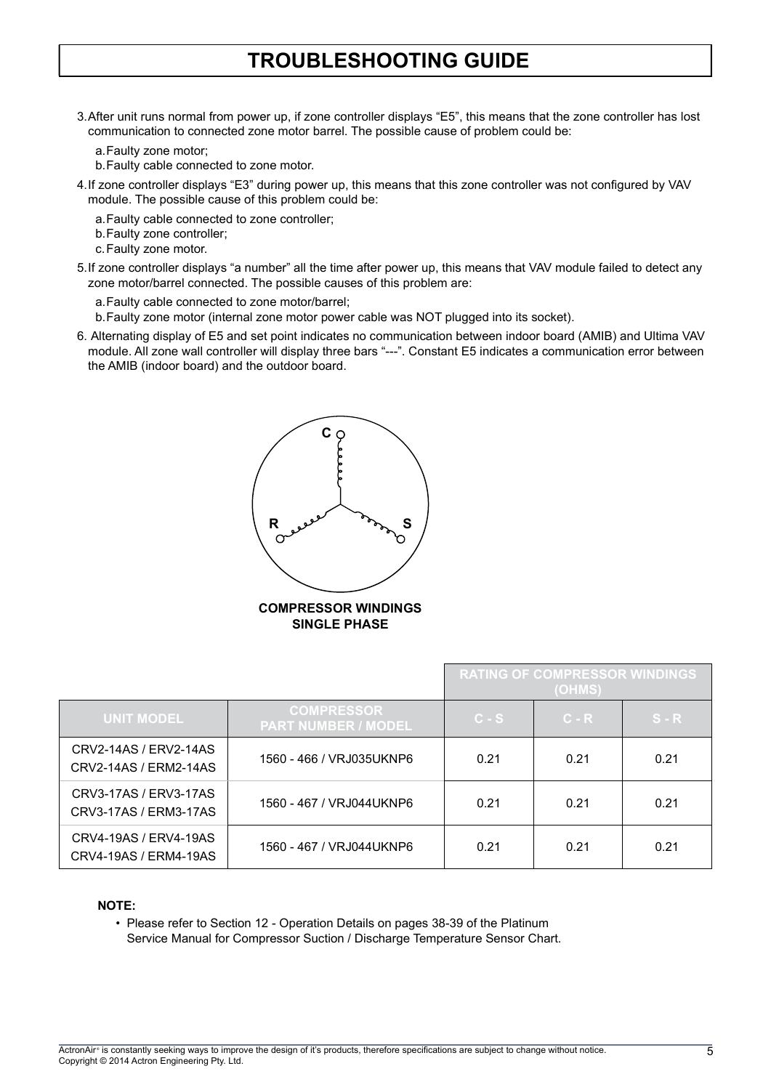3. After unit runs normal from power up, if zone controller displays "E5", this means that the zone controller has lost communication to connected zone motor barrel. The possible cause of problem could be:

a. Faulty zone motor;

- b. Faulty cable connected to zone motor.
- 4. If zone controller displays "E3" during power up, this means that this zone controller was not configured by VAV module. The possible cause of this problem could be:
	- a. Faulty cable connected to zone controller;
	- b. Faulty zone controller;
	- c. Faulty zone motor.
- 5.If zone controller displays "a number" all the time after power up, this means that VAV module failed to detect any zone motor/barrel connected. The possible causes of this problem are:
	- a. Faulty cable connected to zone motor/barrel;
	- b. Faulty zone motor (internal zone motor power cable was NOT plugged into its socket).
- 6. Alternating display of E5 and set point indicates no communication between indoor board (AMIB) and Ultima VAV module. All zone wall controller will display three bars "---". Constant E5 indicates a communication error between the AMIB (indoor board) and the outdoor board.



|                                                |                                                 | <b>RATING OF COMPRESSOR WINDINGS</b><br>(OHMS) |         |         |
|------------------------------------------------|-------------------------------------------------|------------------------------------------------|---------|---------|
| <b>UNIT MODEL</b>                              | <b>COMPRESSOR</b><br><b>PART NUMBER / MODEL</b> | $C-S$                                          | $C - R$ | $S - R$ |
| CRV2-14AS / ERV2-14AS<br>CRV2-14AS / ERM2-14AS | 1560 - 466 / VRJ035UKNP6                        | 0.21                                           | 0.21    | 0.21    |
| CRV3-17AS / ERV3-17AS<br>CRV3-17AS / ERM3-17AS | 1560 - 467 / VRJ044UKNP6                        | 0.21                                           | 0.21    | 0.21    |
| CRV4-19AS / ERV4-19AS<br>CRV4-19AS / ERM4-19AS | 1560 - 467 / VRJ044UKNP6                        | 0.21                                           | 0.21    | 0.21    |

#### NOTE:

• Please refer to Section 12 - Operation Details on pages 38-39 of the Platinum Service Manual for Compressor Suction / Discharge Temperature Sensor Chart.